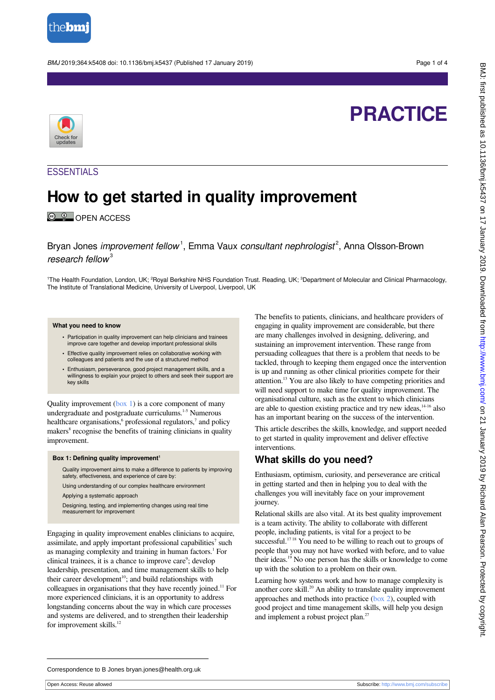

BMJ 2019;364:k5408 doi: 10.1136/bmj.k5437 (Published 17 January 2019) Page 1 of 4

# **PRACTICE**



## **ESSENTIALS**

# **How to get started in quality improvement**

<sup>©</sup> [OPEN ACCESS](http://creativecommons.org/licenses/by/4.0/)

Bryan Jones *improvement fellow*<sup>1</sup>, Emma Vaux consultant nephrologist<sup>2</sup>, Anna Olsson-Brown  $research$  fellow $3$ 

<sup>1</sup>The Health Foundation, London, UK; <sup>2</sup>Royal Berkshire NHS Foundation Trust. Reading, UK; <sup>3</sup>Department of Molecular and Clinical Pharmacology, The Institute of Translational Medicine, University of Liverpool, Liverpool, UK

## **What you need to know**

- **•** Participation in quality improvement can help clinicians and trainees improve care together and develop important professional skills
- **•** Effective quality improvement relies on collaborative working with colleagues and patients and the use of a structured method
- **•** Enthusiasm, perseverance, good project management skills, and a willingness to explain your project to others and seek their support are key skills

<span id="page-0-0"></span>Quality improvement  $(box 1)$  is a core component of many undergraduate and postgraduate curriculums.<sup>1-5</sup> Numerous healthcare organisations, <sup>6</sup> professional regulators,<sup>7</sup> and policy makers<sup>8</sup> recognise the benefits of training clinicians in quality improvement.

## **Box 1: Defining quality improvement<sup>1</sup>**

Quality improvement aims to make a difference to patients by improving safety, effectiveness, and experience of care by:

Using understanding of our complex healthcare environment

Applying a systematic approach

Designing, testing, and implementing changes using real time measurement for improvement

Engaging in quality improvement enables clinicians to acquire, assimilate, and apply important professional capabilities<sup>7</sup> such as managing complexity and training in human factors.<sup>1</sup> For clinical trainees, it is a chance to improve care<sup>9</sup>; develop leadership, presentation, and time management skills to help their career development<sup>10</sup>; and build relationships with colleagues in organisations that they have recently joined.<sup>11</sup> For more experienced clinicians, it is an opportunity to address longstanding concerns about the way in which care processes and systems are delivered, and to strengthen their leadership for improvement skills.<sup>12</sup>

The benefits to patients, clinicians, and healthcare providers of engaging in quality improvement are considerable, but there are many challenges involved in designing, delivering, and sustaining an improvement intervention. These range from persuading colleagues that there is a problem that needs to be tackled, through to keeping them engaged once the intervention is up and running as other clinical priorities compete for their attention.<sup>13</sup> You are also likely to have competing priorities and will need support to make time for quality improvement. The organisational culture, such as the extent to which clinicians are able to question existing practice and try new ideas, $14-16$  also has an important bearing on the success of the intervention.

This article describes the skills, knowledge, and support needed to get started in quality improvement and deliver effective interventions.

## **What skills do you need?**

Enthusiasm, optimism, curiosity, and perseverance are critical in getting started and then in helping you to deal with the challenges you will inevitably face on your improvement journey.

Relational skills are also vital. At its best quality improvement is a team activity. The ability to collaborate with different people, including patients, is vital for a project to be successful.<sup>17 18</sup> You need to be willing to reach out to groups of people that you may not have worked with before, and to value their ideas.<sup>19</sup> No one person has the skills or knowledge to come up with the solution to a problem on their own.

Learning how systems work and how to manage complexity is another core skill.<sup>20</sup> An ability to translate quality improvement approaches and methods into practice [\(box 2\)](#page-1-0), coupled with good project and time management skills, will help you design and implement a robust project plan.<sup>27</sup>

Correspondence to B Jones bryan.jones@health.org.uk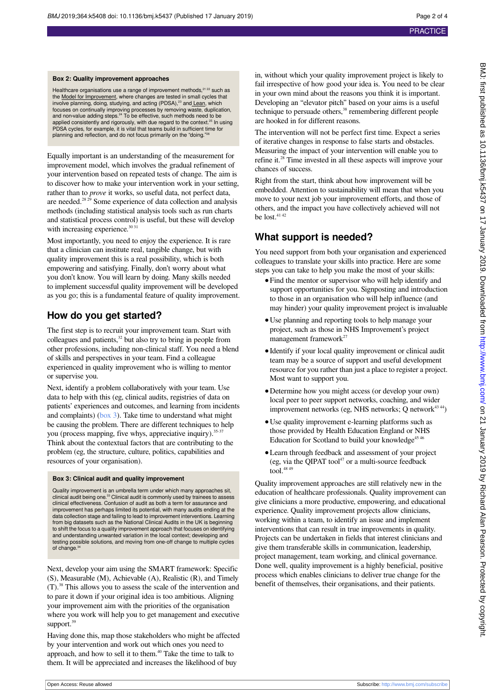## <span id="page-1-0"></span>**Box 2: Quality improvement approaches**

Healthcare organisations use a range of improvement methods,<sup>21 22</sup> such as the Model for Improvement, where changes are tested in small cycles that involve planning, doing, studying, and acting (PDSA),<sup>23</sup> and <u>Lean,</u> which<br>focuses on continually improving processes by removing waste, duplication,<br>and non-value adding steps.<sup>24</sup> To be effective, such methods need to b applied consistently and rigorously, with due regard to the context.<sup>25</sup> In using<br>PDSA cycles, for example, it is vital that teams build in sufficient time for planning and reflection, and do not focus primarily on the "doing. 26

Equally important is an understanding of the measurement for improvement model, which involves the gradual refinement of your intervention based on repeated tests of change. The aim is to discover how to make your intervention work in your setting, rather than to *prove* it works, so useful data, not perfect data, are needed.<sup>28 29</sup> Some experience of data collection and analysis methods (including statistical analysis tools such as run charts and statistical process control) is useful, but these will develop with increasing experience.<sup>30 31</sup>

Most importantly, you need to enjoy the experience. It is rare that a clinician can institute real, tangible change, but with quality improvement this is a real possibility, which is both empowering and satisfying. Finally, don't worry about what you don't know. You will learn by doing. Many skills needed to implement successful quality improvement will be developed as you go; this is a fundamental feature of quality improvement.

# **How do you get started?**

The first step is to recruit your improvement team. Start with colleagues and patients,<sup>32</sup> but also try to bring in people from other professions, including non-clinical staff. You need a blend of skills and perspectives in your team. Find a colleague experienced in quality improvement who is willing to mentor or supervise you.

<span id="page-1-1"></span>Next, identify a problem collaboratively with your team. Use data to help with this (eg, clinical audits, registries of data on patients' experiences and outcomes, and learning from incidents and complaints) [\(box 3\)](#page-1-1). Take time to understand what might be causing the problem. There are different techniques to help you (process mapping, five whys, appreciative inquiry).<sup>35-37</sup> Think about the contextual factors that are contributing to the problem (eg, the structure, culture, politics, capabilities and resources of your organisation).

## **Box 3: Clinical audit and quality improvement**

Quality improvement is an umbrella term under which many approaches sit, clinical audit being one.<sup>33</sup> Clinical audit is commonly used by trainees to asset clinical effectiveness. Confusion of audit as both a term for assurance and improvement has perhaps limited its potential, with many audits ending at the data collection stage and failing to lead to improvement interventions. Learning from big datasets such as the National Clinical Audits in the UK is beginning to shift the focus to a quality improvement approach that focuses on identifying and understanding unwanted variation in the local context; developing and testing possible solutions, and moving from one-off change to multiple cycles of change.<sup>34</sup>

Next, develop your aim using the SMART framework: Specific (S), Measurable (M), Achievable (A), Realistic (R), and Timely (T).<sup>38</sup> This allows you to assess the scale of the intervention and to pare it down if your original idea is too ambitious. Aligning your improvement aim with the priorities of the organisation where you work will help you to get management and executive support.<sup>39</sup>

Having done this, map those stakeholders who might be affected by your intervention and work out which ones you need to approach, and how to sell it to them.<sup>40</sup> Take the time to talk to them. It will be appreciated and increases the likelihood of buy

in, without which your quality improvement project is likely to fail irrespective of how good your idea is. You need to be clear in your own mind about the reasons you think it is important. Developing an "elevator pitch" based on your aims is a useful technique to persuade others,<sup>38</sup> remembering different people are hooked in for different reasons.

The intervention will not be perfect first time. Expect a series of iterative changes in response to false starts and obstacles. Measuring the impact of your intervention will enable you to refine it.<sup>28</sup> Time invested in all these aspects will improve your chances of success.

Right from the start, think about how improvement will be embedded. Attention to sustainability will mean that when you move to your next job your improvement efforts, and those of others, and the impact you have collectively achieved will not be lost.<sup>41 42</sup>

# **What support is needed?**

You need support from both your organisation and experienced colleagues to translate your skills into practice. Here are some steps you can take to help you make the most of your skills:

- **•**Find the mentor or supervisor who will help identify and support opportunities for you. Signposting and introduction to those in an organisation who will help influence (and may hinder) your quality improvement project is invaluable
- **•**Use planning and reporting tools to help manage your project, such as those in NHS Improvement's project management framework<sup>27</sup>
- **•**Identify if your local quality improvement or clinical audit team may be a source of support and useful development resource for you rather than just a place to register a project. Most want to support you.
- **•**Determine how you might access (or develop your own) local peer to peer support networks, coaching, and wider improvement networks (eg, NHS networks; Q network<sup>43 44</sup>)
- **•**Use quality improvement e-learning platforms such as those provided by Health Education England or NHS Education for Scotland to build your knowledge<sup>45 46</sup>
- **•**Learn through feedback and assessment of your project (eg, via the OIPAT tool<sup>47</sup> or a multi-source feedback  $\frac{1}{4849}$

Quality improvement approaches are still relatively new in the education of healthcare professionals. Quality improvement can give clinicians a more productive, empowering, and educational experience. Quality improvement projects allow clinicians, working within a team, to identify an issue and implement interventions that can result in true improvements in quality. Projects can be undertaken in fields that interest clinicians and give them transferable skills in communication, leadership, project management, team working, and clinical governance. Done well, quality improvement is a highly beneficial, positive process which enables clinicians to deliver true change for the benefit of themselves, their organisations, and their patients.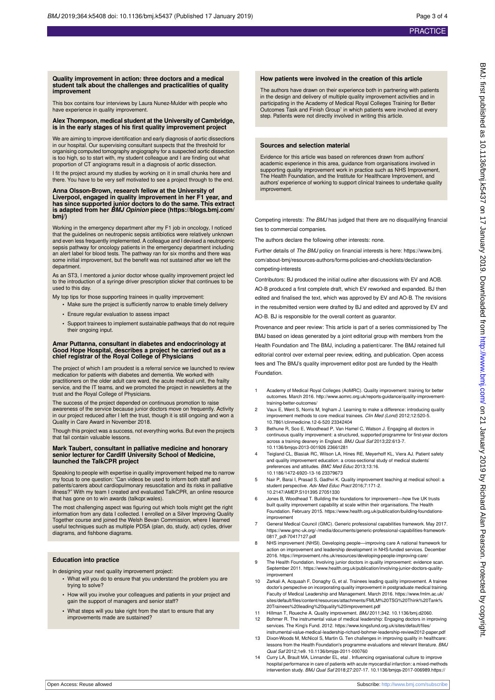# BMJ: first published as 10.1136/bmj.k5437 on 17 January 2019. Downloaded from http://www.bmj.com/ on 21 January 2019 by Richard Alan Pearson. Protected by copyright BMJ: first published as 10.1136/bmj.k5437 on 17 January 2019. Downloaded from <http://www.bmj.com/> on 21 January 2019 by Richard Alan Pearson. Protected by copyright.

## **Quality improvement in action: three doctors and a medical student talk about the challenges and practicalities of quality improvement**

This box contains four interviews by Laura Nunez-Mulder with people who have experience in quality improvement.

## **Alex Thompson, medical student at the University of Cambridge, is in the early stages of his first quality improvement project**

We are aiming to improve identification and early diagnosis of aortic dissections in our hospital. Our supervising consultant suspects that the threshold for organising computed tomography angiography for a suspected aortic dissection is too high, so to start with, my student colleague and I are finding out what proportion of CT angiograms result in a diagnosis of aortic dissection.

I fit the project around my studies by working on it in small chunks here and there. You have to be very self motivated to see a project through to the end.

## **Anna Olsson-Brown, research fellow at the University of Liverpool, engaged in quality improvement in her F1 year, and has since supported junior doctors to do the same. This extract is adapted from her** *BMJ Opinion* **piece (https://blogs.bmj.com/ bmj/)**

Working in the emergency department after my F1 job in oncology, I noticed that the guidelines on neutropenic sepsis antibiotics were relatively unknown and even less frequently implemented. A colleague and I devised a neutropenic sepsis pathway for oncology patients in the emergency department including an alert label for blood tests. The pathway ran for six months and there was some initial improvement, but the benefit was not sustained after we left the department.

As an ST3, I mentored a junior doctor whose quality improvement project led to the introduction of a syringe driver prescription sticker that continues to be used to this day.

My top tips for those supporting trainees in quality improvement: **•** Make sure the project is sufficiently narrow to enable timely delivery

- **•** Ensure regular evaluation to assess impact
- **•** Support trainees to implement sustainable pathways that do not require their ongoing input.

## **Amar Puttanna, consultant in diabetes and endocrinology at Good Hope Hospital, describes a project he carried out as a chief registrar of the Royal College of Physicians**

The project of which I am proudest is a referral service we launched to review medication for patients with diabetes and dementia. We worked with practitioners on the older adult care ward, the acute medical unit, the frailty service, and the IT teams, and we promoted the project in newsletters at the trust and the Royal College of Physicians.

The success of the project depended on continuous promotion to raise awareness of the service because junior doctors move on frequently. Activity in our project reduced after I left the trust, though it is still ongoing and won a Quality in Care Award in November 2018.

Though this project was a success, not everything works. But even the projects that fail contain valuable lessons.

## **Mark Taubert, consultant in palliative medicine and honorary senior lecturer for Cardiff University School of Medicine, launched the TalkCPR project**

Speaking to people with expertise in quality improvement helped me to narrow my focus to one question: "Can videos be used to inform both staff and patients/carers about cardiopulmonary resuscitation and its risks in palliative illness?" With my team I created and evaluated TalkCPR, an online resource that has gone on to win awards (talkcpr.wales).

The most challenging aspect was figuring out which tools might get the right information from any data I collected. I enrolled on a Silver Improving Quality Together course and joined the Welsh Bevan Commission, where I learned useful techniques such as multiple PDSA (plan, do, study, act) cycles, driver diagrams, and fishbone diagrams.

## **Education into practice**

In designing your next quality improvement project:

- **•** What will you do to ensure that you understand the problem you are trying to solve?
- **•** How will you involve your colleagues and patients in your project and gain the support of managers and senior staff?
- **•** What steps will you take right from the start to ensure that any improvements made are sustained?

## **How patients were involved in the creation of this article**

The authors have drawn on their experience both in partnering with patients in the design and delivery of multiple quality improvement activities and in participating in the Academy of Medical Royal Colleges Training for Better Outcomes Task and Finish Group<sup>1</sup> in which patients were involved at every step. Patients were not directly involved in writing this article.

## **Sources and selection material**

Evidence for this article was based on references drawn from authors' academic experience in this area, guidance from organisations involved in supporting quality improvement work in practice such as NHS Improvement, The Health Foundation, and the Institute for Healthcare Improvement, and authors' experience of working to support clinical trainees to undertake quality improvement.

Competing interests: The BMJ has judged that there are no disqualifying financial ties to commercial companies.

The authors declare the following other interests: none.

Further details of The BMJ policy on financial interests is here: https://www.bmi. com/about-bmj/resources-authors/forms-policies-and-checklists/declarationcompeting-interests

Contributors: BJ produced the initial outline after discussions with EV and AOB. AO-B produced a first complete draft, which EV reworked and expanded. BJ then edited and finalised the text, which was approved by EV and AO-B. The revisions in the resubmitted version were drafted by BJ and edited and approved by EV and AO-B. BJ is responsible for the overall content as guarantor.

Provenance and peer review: This article is part of a series commissioned by The BMJ based on ideas generated by a joint editorial group with members from the Health Foundation and The BMJ, including a patient/carer. The BMJ retained full editorial control over external peer review, editing, and publication. Open access fees and The BMJ's quality improvement editor post are funded by the Health Foundation.

- 1 Academy of Medical Royal Colleges (AoMRC). Quality improvement: training for better outcomes. March 2016. [http://www.aomrc.org.uk/reports-guidance/quality-improvement](http://www.aomrc.org.uk/reports-guidance/quality-improvement-training-better-outcomes/)[training-better-outcomes/](http://www.aomrc.org.uk/reports-guidance/quality-improvement-training-better-outcomes/)
- 2 Vaux E, Went S, Norris M, Ingham J. Learning to make a difference: introducing quality improvement methods to core medical trainees. Clin Med (Lond) 2012;12:520-5. 10.7861/clinmedicine.12-6-520 23342404
- 3 Bethune R, Soo E, Woodhead P, Van Hamel C, Watson J. Engaging all doctors in continuous quality improvement: a structured, supported programme for first-year doctors across a training deanery in England. BMJ Qual Saf 2013;22:613-7. 10.1136/bmjqs-2013-001926 23661281
- 4 Teigland CL, Blasiak RC, Wilson LA, Hines RE, Meyerhoff KL, Viera AJ. Patient safety and quality improvement education: a cross-sectional study of medical students' preferences and attitudes. BMC Med Educ 2013;13:16. 10.1186/1472-6920-13-16 23379673
- 5 Nair P, Barai I, Prasad S, Gadhvi K. Quality improvement teaching at medical school: a student perspective. Adv Med Educ Pract 2016;7:171-2. 10.2147/AMEP.S101395 27051330
- Jones B, Woodhead T. Building the foundations for improvement-how five UK trusts built quality improvement capability at scale within their organisations. The Health Foundation. February 2015. https://www.health.org.uk/publication/building-foundationsimprovement
- 7 General Medical Council (GMC). Generic professional capabilities framework. May 2017. https://www.gmc-uk.org/-/media/documents/generic-professional-capabilities-framework-0817\_pdf-70417127.pdf
- 8 NHS improvement (NHSI). Developing people—improving care A national framework for action on improvement and leadership development in NHS-funded services. December 2016. https://improvement.nhs.uk/resources/developing-people-improving-care/
- The Health Foundation. Involving junior doctors in quality improvement: evidence scan. September 2011. https://www.health.org.uk/publication/involving-junior-doctors-qualityimprovement
- Zarkali A, Acquaah F, Donaghy G, et al. Trainees leading quality improvement. A trainee doctor's perspective on incorporating quality improvement in postgraduate medical training. Faculty of Medical Leadership and Management. March 2016. https://www.fmlm.ac.uk/ sites/default/files/content/resources/attachments/FMLM%20TSG%20Think%20Tank% 20Trainees%20leading%20quality%20improvement.pdf
- Hillman T, Roueche A. Quality improvement. BMJ 2011;342. 10.1136/bmj.d2060. 12 Bohmer R. The instrumental value of medical leadership: Engaging doctors in improving services. The King's Fund. 2012. https://www.kingsfund.org.uk/sites/default/files/
- instrumental-value-medical-leadership-richard-bohmer-leadership-review2012-paper.pdf 13 Dixon-Woods M, McNicol S, Martin G. Ten challenges in improving quality in healthcare: lessons from the Health Foundation's programme evaluations and relevant literature. BMJ
- Qual Saf 2012;1e9. 10.1136/bmjqs-2011-000760 Curry LA, Brault MA, Linnander EL, etal . Influencing organisational culture to improve hospital performance in care of patients with acute myocardial infarction: a mixed-methods intervention study. BMJ Qual Saf 2018;27:207-17. 10.1136/bmjqs-2017-006989.https://